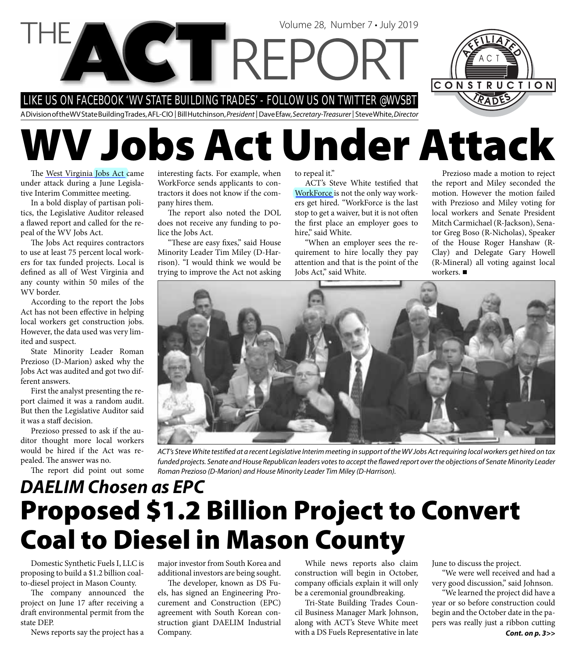

# **WV Jobs Act Under Attack**

The [West Virginia Jobs Act](http://www.wvlegislature.gov/WVCODE/code.cfm?chap=21&art=1) came under attack during a June Legislative Interim Committee meeting.

In a bold display of partisan politics, the Legislative Auditor released a flawed report and called for the repeal of the WV Jobs Act.

The Jobs Act requires contractors to use at least 75 percent local workers for tax funded projects. Local is defined as all of West Virginia and any county within 50 miles of the WV border.

According to the report the Jobs Act has not been effective in helping local workers get construction jobs. However, the data used was very limited and suspect.

State Minority Leader Roman Prezioso (D-Marion) asked why the Jobs Act was audited and got two different answers.

First the analyst presenting the report claimed it was a random audit. But then the Legislative Auditor said it was a staff decision.

Prezioso pressed to ask if the auditor thought more local workers would be hired if the Act was repealed. The answer was no.

The report did point out some

interesting facts. For example, when WorkForce sends applicants to contractors it does not know if the company hires them.

The report also noted the DOL does not receive any funding to police the Jobs Act.

"These are easy fixes," said House Minority Leader Tim Miley (D-Harrison). "I would think we would be trying to improve the Act not asking to repeal it."

ACT's Steve White testified that [WorkForce](http://www.workforcewv.org/) is not the only way workers get hired. "WorkForce is the last stop to get a waiver, but it is not often the first place an employer goes to hire," said White.

"When an employer sees the requirement to hire locally they pay attention and that is the point of the Jobs Act," said White.

Prezioso made a motion to reject the report and Miley seconded the motion. However the motion failed with Prezioso and Miley voting for local workers and Senate President Mitch Carmichael (R-Jackson), Senator Greg Boso (R-Nicholas), Speaker of the House Roger Hanshaw (R-Clay) and Delegate Gary Howell (R-Mineral) all voting against local workers.



ACT's Steve White testified at a recent Legislative Interim meeting in support of the WV Jobs Act requiring local workers get hired on tax funded projects. Senate and House Republican leaders votes to accept the flawed report over the objections of Senate Minority Leader Roman Prezioso (D-Marion) and House Minority Leader Tim Miley (D-Harrison).

## **Proposed \$1.2 Billion Project to Convert Coal to Diesel in Mason County** *DAELIM Chosen as EPC*

Domestic Synthetic Fuels I, LLC is proposing to build a \$1.2 billion coalto-diesel project in Mason County.

The company announced the project on June 17 after receiving a draft environmental permit from the state DEP.

News reports say the project has a

major investor from South Korea and additional investors are being sought.

The developer, known as DS Fuels, has signed an Engineering Procurement and Construction (EPC) agreement with South Korean construction giant DAELIM Industrial Company.

While news reports also claim construction will begin in October, company officials explain it will only be a ceremonial groundbreaking.

Tri-State Building Trades Council Business Manager Mark Johnson, along with ACT's Steve White meet with a DS Fuels Representative in late

June to discuss the project.

"We were well received and had a very good discussion," said Johnson.

"We learned the project did have a year or so before construction could begin and the October date in the papers was really just a ribbon cutting *Cont. on p. 3>>*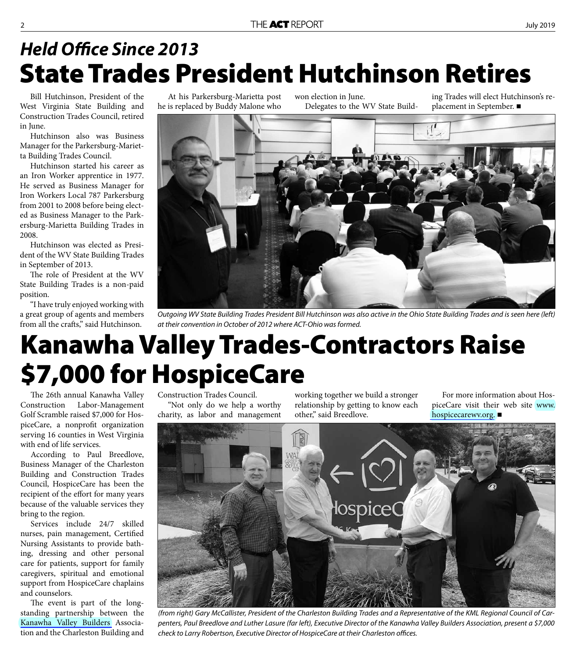### **State Trades President Hutchinson Retires Held Office Since 2013**

Bill Hutchinson, President of the West Virginia State Building and Construction Trades Council, retired in June.

Hutchinson also was Business Manager for the Parkersburg-Marietta Building Trades Council.

Hutchinson started his career as an Iron Worker apprentice in 1977. He served as Business Manager for Iron Workers Local 787 Parkersburg from 2001 to 2008 before being elected as Business Manager to the Parkersburg-Marietta Building Trades in 2008.

Hutchinson was elected as President of the WV State Building Trades in September of 2013.

The role of President at the WV State Building Trades is a non-paid position.

"I have truly enjoyed working with a great group of agents and members from all the crafts," said Hutchinson.

At his Parkersburg-Marietta post he is replaced by Buddy Malone who

won election in June. Delegates to the WV State Build-

ing Trades will elect Hutchinson's replacement in September. ■



Outgoing WV State Building Trades President Bill Hutchinson was also active in the Ohio State Building Trades and is seen here (left) at their convention in October of 2012 where ACT-Ohio was formed.

# **Kanawha Valley Trades-Contractors Raise \$7,000 for HospiceCare**

The 26th annual Kanawha Valley Construction Labor-Management Golf Scramble raised \$7,000 for HospiceCare, a nonprofit organization serving 16 counties in West Virginia with end of life services.

According to Paul Breedlove, Business Manager of the Charleston Building and Construction Trades Council, HospiceCare has been the recipient of the effort for many years because of the valuable services they bring to the region.

Services include 24/7 skilled nurses, pain management, Certified Nursing Assistants to provide bathing, dressing and other personal care for patients, support for family caregivers, spiritual and emotional support from HospiceCare chaplains and counselors.

The event is part of the longstanding partnership between the [Kanawha Valley Builders](www.kvba.com/) Association and the Charleston Building and

Construction Trades Council. "Not only do we help a worthy charity, as labor and management

working together we build a stronger relationship by getting to know each other," said Breedlove.

For more information about HospiceCare visit their web site www. [hospicecarewv.org.](www.hospicecarewv.org)



(from right) Gary McCallister, President of the Charleston Building Trades and a Representative of the KML Regional Council of Carpenters, Paul Breedlove and Luther Lasure (far left), Executive Director of the Kanawha Valley Builders Association, present a \$7,000 check to Larry Robertson, Executive Director of HospiceCare at their Charleston offices.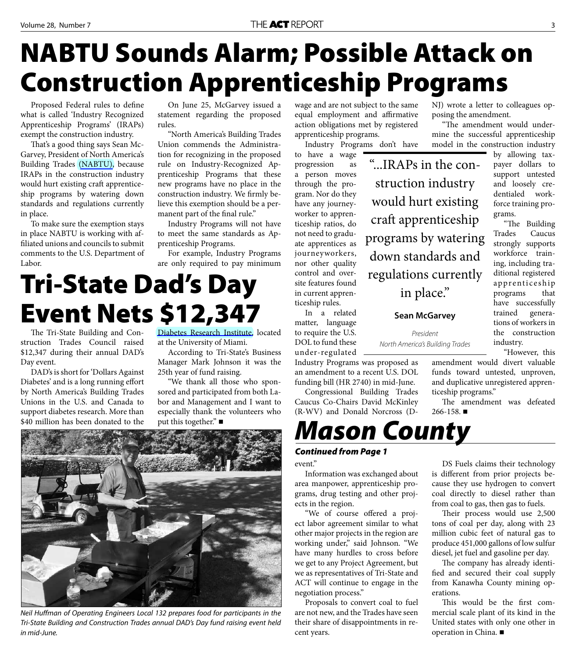# **NABTU Sounds Alarm; Possible Attack on Construction Apprenticeship Programs**

Proposed Federal rules to define what is called 'Industry Recognized Apprenticeship Programs' (IRAPs) exempt the construction industry.

That's a good thing says Sean Mc-Garvey, President of North America's Building Trades [\(NABTU\),](https://nabtu.org/) because IRAPs in the construction industry would hurt existing craft apprenticeship programs by watering down standards and regulations currently in place.

To make sure the exemption stays in place NABTU is working with affiliated unions and councils to submit comments to the U.S. Department of Labor.

On June 25, McGarvey issued a statement regarding the proposed rules.

"North America's Building Trades Union commends the Administration for recognizing in the proposed rule on Industry-Recognized Apprenticeship Programs that these new programs have no place in the construction industry. We firmly believe this exemption should be a permanent part of the final rule."

Industry Programs will not have to meet the same standards as Apprenticeship Programs.

For example, Industry Programs are only required to pay minimum

# **Tri-State Dad's Day Event Nets \$12,347**

The Tri-State Building and Construction Trades Council raised \$12,347 during their annual DAD's Day event.

DAD's is short for 'Dollars Against Diabetes' and is a long running effort by North America's Building Trades Unions in the U.S. and Canada to support diabetes research. More than \$40 million has been donated to the

[Diabetes Research Institute,](https://www.diabetesresearch.org/) located at the University of Miami.

According to Tri-State's Business Manager Mark Johnson it was the 25th year of fund raising.

"We thank all those who sponsored and participated from both Labor and Management and I want to especially thank the volunteers who put this together." ■



Neil Huffman of Operating Engineers Local 132 prepares food for participants in the Tri-State Building and Construction Trades annual DAD's Day fund raising event held in mid-June.

wage and are not subject to the same equal employment and affirmative action obligations met by registered apprenticeship programs.

Industry Programs don't have

to have a wage progression as a person moves through the program. Nor do they have any journeyworker to apprenticeship ratios, do not need to graduate apprentices as journeyworkers, nor other quality control and oversite features found in current apprenticeship rules.

In a related matter, language to require the U.S. DOL to fund these under-regulated

Industry Programs was proposed as an amendment to a recent U.S. DOL funding bill (HR 2740) in mid-June.

Congressional Building Trades Caucus Co-Chairs David McKinley (R-WV) and Donald Norcross (D-



#### *Continued from Page 1*

event."

Information was exchanged about area manpower, apprenticeship programs, drug testing and other projects in the region.

"We of course offered a project labor agreement similar to what other major projects in the region are working under," said Johnson. "We have many hurdles to cross before we get to any Project Agreement, but we as representatives of Tri-State and ACT will continue to engage in the negotiation process."

Proposals to convert coal to fuel are not new, and the Trades have seen their share of disappointments in recent years.

NJ) wrote a letter to colleagues opposing the amendment.

"The amendment would undermine the successful apprenticeship model in the construction industry

grams.

by allowing taxpayer dollars to support untested and loosely credentialed workforce training pro-

"The Building Trades Caucus strongly supports workforce training, including traditional registered apprenticeship programs that have successfully trained generations of workers in the construction

"...IRAPs in the construction industry would hurt existing craft apprenticeship programs by watering down standards and regulations currently in place."

**Sean McGarvey** 

President North America's Building Trades

> amendment would divert valuable funds toward untested, unproven, and duplicative unregistered apprenticeship programs."

industry.

"However, this

The amendment was defeated  $266 - 158$ .

DS Fuels claims their technology

is different from prior projects because they use hydrogen to convert coal directly to diesel rather than from coal to gas, then gas to fuels.

Their process would use 2,500 tons of coal per day, along with 23 million cubic feet of natural gas to produce 451,000 gallons of low sulfur diesel, jet fuel and gasoline per day.

The company has already identified and secured their coal supply from Kanawha County mining operations.

This would be the first commercial scale plant of its kind in the United states with only one other in operation in China.